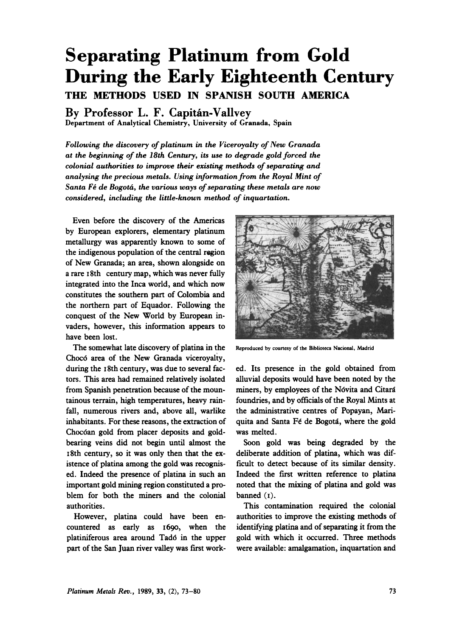# **Separating Platinum from Gold During the Early Eighteenth Century THE METHODS USED IN SPANISH SOUTH AMERICA**

**By Professor L. F. Capitán-Vallvey** 

Department of Analytical Chemistry, University of Granada, Spain

*Following the discovery of platinum in the Viceroyalty of New Granada at the beginning of the 18th Century, its use to degrade gold forced the colonial authorities to improve their existing methods of separating and analysing the precious metals. Using information from the Royal Mint of Santa F6 de Bogota, the various ways of separating these metals are now considered, including the little-known method of inquartation.* 

Even before the discovery of the Americas by European explorers, elementary platinum metallurgy was apparently known to some of the indigenous population of the central region of New Granada; an area, shown alongside on a rare 18th century map, which was never fully integrated into the Inca world, and which now constitutes the southern part of Colombia and the northern part of Equador. Following the conquest of the New World by European invaders, however, this information appears to have been lost.

The somewhat late discovery of platina in the Chocd area of the New Granada viceroyalty, during the 18th century, was due to several factors. **This** area had remained relatively isolated from Spanish penetration because of the mountainous terrain, high temperatures, heavy rainfall, numerous rivers and, above all, warlike inhabitants. For these reasons, the extraction of Chocdan gold from placer deposits and goldbearing veins did not begin until almost the 18th century, **so** it was only then that the existence of platina among the gold was recognised. Indeed the presence of platina in such an important gold mining region constituted a problem for both the miners and the colonial authorities.

However, platina could have been encountered as early as **1690,** when the platiniferous area around Tad6 in the upper part of the San Juan river valley was first work-



**Reproduced by courtesy of the Bibliotecn Nacional, Madrid** 

ed. Its presence in the gold obtained from alluvial deposits would have been noted by the miners, by employees of the Nóvita and Citará foundries, and by officials of the Royal Mints at the administrative centres of Popayan, Mariquita and Santa Fé de Bogotá, where the gold was melted.

Soon gold was being degraded by the deliberate addition of platina, which was difficult to detect because of its similar density. Indeed the first written reference to platina noted that the mixing of platina and gold was banned (I).

This contamination required the colonial authorities to improve the existing methods of identifying platina and of separating it from the gold with which it occurred. Three methods were available: amalgamation, inquartation and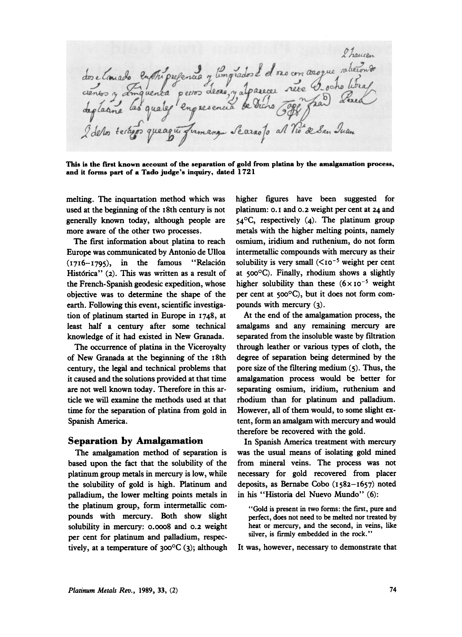2 hausen dos elanado en Tripulanado y limpiados de os con aroque abecondo 2 de los terajos que agua fumangu Seazao fo al Notre San Juan

**This is the first known account of the separation of gold from platina by the amalgamation process,**  and it forms part of a Tado judge's inquiry, dated 1721

melting. The inquartation method which was used at the beginning of the 18th century is not generally known today, although people are more aware of the other two processes.

The first information about platina to reach Europe was communicated by Antonio de Ulloa  $(1716-1795)$ , in the famous "Relación Histórica" (2). This was written as a result of the French- Spanish geodesic expedition, whose objective was to determine the shape of the earth. Following **this** event, scientific investigation of platinum started in Europe in 1748, at least half a century after some technical knowledge of it had existed in New Granada.

The occurrence of platina in the Viceroyalty of New Granada at the beginning of the 18th century, the legal and technical problems that it caused and the solutions provided at that time are not well known today. Therefore in this article we will examine the methods used at that time for the separation of platina from gold in Spanish America.

#### **Separation by Amalgamation**

The amalgamation method of separation is based upon the fact that the solubility of the platinum group metals in mercury is low, while the solubility of gold is high. Platinum and palladium, the lower melting points metals in the platinum group, form intermetallic compounds with mercury. Both show slight solubility in mercury: 0.0008 and **0.2** weight per cent for platinum and palladium, respectively, at a temperature of  $300^{\circ}C(3)$ ; although higher figures have **been** suggested for platinum: *0.* I and **0.2** weight per cent at **24** and 54°C, respectively (4). The platinum group metals with the higher melting points, namely osmium, iridium and ruthenium, do not form intermetallic compounds with mercury as their solubility is very small  $(*i*o<sup>-5</sup>$  weight per cent at  $500^{\circ}$ C). Finally, rhodium shows a slightly higher solubility than these  $(6 \times 10^{-5}$  weight per cent at 500°C), but it does not form compounds with mercury (3).

At the end of the amalgamation process, the amalgams and any remaining mercury are separated from the insoluble waste by filtration through leather or various types of cloth, the degree of separation being determined by the pore size of the fitering medium *(5).* Thus, the amalgamation process would be better for separating osmium, iridium, ruthenium and rhodium than for platinum and palladium. However, all of them would, to some slight extent, form an amalgam with mercury and would therefore be recovered with the gold.

**In** Spanish America treatment with mercury was the usual means of isolating gold mined from mineral veins. The process was not necessary for gold recovered from placer deposits, as Bernabe Cobo (1582-1657) noted in his "Historia del Nuevo Mundo" (6):

"Gold is present in two **forms:** the first, pure and **perfect, does** not need to be melted nor treated by heat or mercury, and the second, in **veins,** like silver, is firmly embedded in the **rock."** 

It was, however, necessary to demonstrate that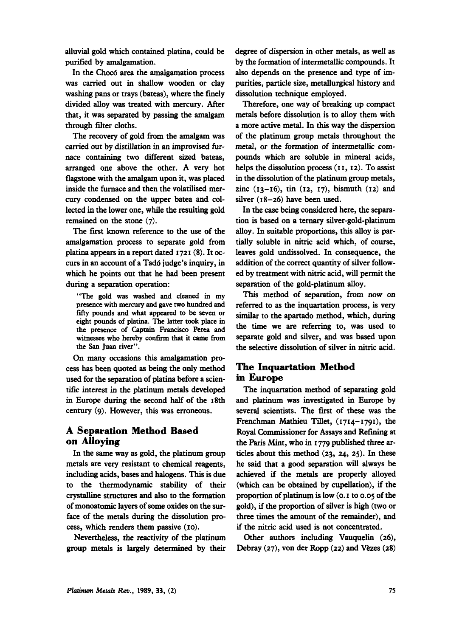alluvial gold which contained platina, could be purified by amalgamation.

In the Choc6 area the amalgamation process was carried out in shallow wooden or clay washing pans or trays (bateas), where the finely divided alloy was treated with mercury. After that, it was separated by passing the amalgam through filter cloths.

The recovery of gold from the **amalgam** was carried out by distillation in **an** improvised furnace containing **two** different sized bateas, arranged one above the other. **A** very hot flagstone with the amalgam upon it, was placed inside the furnace and then the volatilised mercury condensed on the upper batea and collected in the lower one, while the **resulting** gold remained on the stone **(7).** 

The first known reference to the **use** of the amalgamation process to separate gold from platina appears in a report dated **1721 (8).** It **oc**curs in an account of a Tad6 judge's inquiry, in which he points out that he had been present during a separation operation:

**"The gold was washed and cleaned in my pence with mercury and gave two hundred and**  fifty **pounds and what appeared to be seven or eight pounds of platina. The latter took place in the presence of Captain Francisco Perea and witnesses who hereby confirm that it came from the** *San* **Juan river".** 

On many occasions this amalgamation process has been quoted as being the only method **used** for the separation of platina before a scientific interest in the platinum metals developed in Europe during the second half of the **18th**  century **(9).** However, **this** was erroneous.

### **A Separation Method Based on Alloying**

In the same way as gold, the platinum group metals are very resistant to chemical reagents, including acids, bases and halogens. **This** is due to the thermodynamic stability of their crystalline structures and also to the formation of monoatomic layers of some oxides on the surface of the metals during the dissolution process, which renders them passive **(10).** 

Nevertheless, the reactivity of the platinum group metals is largely determined by their degree of dispersion in other metals, as well as by the formation of intermetallic compounds. It also depends on the presence and **type** of impurities, particle size, metallurgical history and dissolution technique employed.

Therefore, one way of breaking up compact metals before dissolution is to alloy them with a more active metal. In **this** way the dispersion of the platinum group metals throughout the metal, or the formation of intermetallic compounds which are soluble in mineral acids, helps the dissolution process (11, 12). To assist in the dissolution of the platinum group metals, zinc **(13-16),** tin **(12, 17),** bismuth **(12)** and silver **(18-26)** have been **used.** 

In the case being considered here, the separation is based on a ternary silver-gold-platinum alloy. In suitable proportions, this alloy is partially soluble in nitric acid which, of course, leaves gold undissolved. In consequence, the addition of the correct quantity of silver followed by treatment with nitric acid, will permit the separation of the gold-platinum alloy.

*This* method of separation, from now on referred to as the inquartation process, is very **similar** to the apartado method, which, during the time we **are** referring to, was used to separate gold and silver, and was based upon the selective dissolution of silver in nitric acid.

### **The Inquartation Method in Europe**

The inquartation method of separating gold and platinum was investigated in Europe by several scientists. The first of these was the Frenchman Mathieu Tillet, **(1714-1791),** the Royal Commissioner for Assays and Refining at the **Paris** Mint, who in **1779** published three **ar**ticles about this method **(23, 24, 25).** In these he said that a good separation will always be achieved if **the** metals **are** properly alloyed (which can be obtained by cupellation), if the proportion of platinum is low *(0.* **I** to **0.05 of** the gold), if the proportion of silver is high **(two** or three times the amount of the remainder), and if the nitric acid used is not concentrated.

*Other* authors including Vauquelin **(26),**  Debray (27), von der Ropp (22) and Vèzes (28)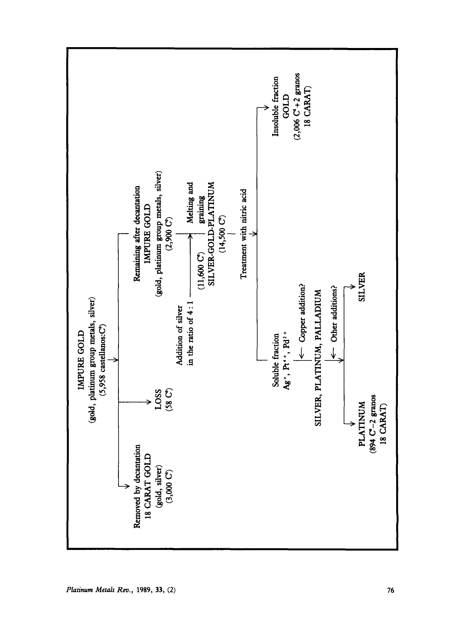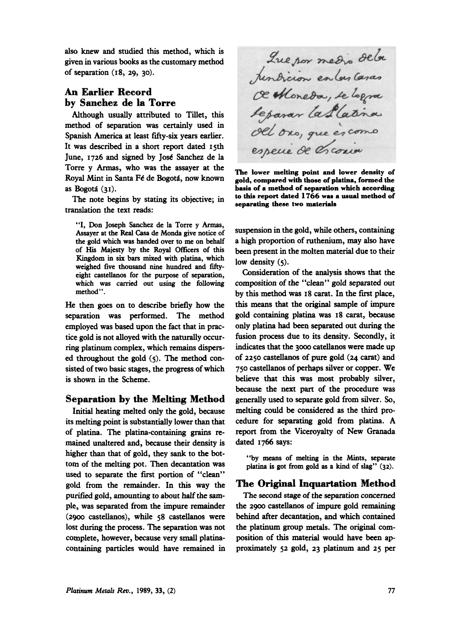also knew and studied **this** method, which is given in various **books** as the customary method of separation **(18, 29, 30).** 

## **An Earlier Record by Sanchez de la Torre**

Although usually attributed to Tillet, **this**  method of separation was certainly used in Spanish America at least fifty-six years earlier. It was described in a short report dated 15th June, **1726** and signed by José Sanchez de la Royal Mint in Santa Fé de Bogotá, now known as Bogotá (31). *basis* **of a method of separation which according in the set of a method of separation which according** Torre y Armas, who was the assayer

translation the text reads: The note begins by stating its objective; in

"I, Don Joseph Sanchez de la Torre y **Armas,**  Assayer at the **Real** *Casa* de Monda give notice of the gold which was handed over **to** me on behalf of His **Majesty** by the Royal officers of this Kingdom in *six* **bars** mixed with platina, which weighed five thousand nine hundred and fiftyeight castellanos for the purpose of separation, which **was** *carried* **out** using the following method".

He then goes on to describe briefly how the separation was performed. The method employed was based upon the fact that in practice gold is not alloyed with the naturally occurring platinum complex, which remains dispersed throughout the gold *(5).* The method consisted of **two** basic stages, the progress of which is shown in the Scheme.

#### **Separation by the Melting Method**

Initial heating melted only the gold, because its melting point is substantially lower than that of platina. The platina-containing **grains** remained unaltered and, because their density is higher than that of gold, they *sank* to the bottom of the melting pot. Then decantation was used to separate the first portion of "clean" gold from the remainder. In **this** way the purified gold, amounting to about half the sample, was separated from the impure remainder **(2900** castellanos), while **58** castellanos were lost during the process. The separation was not complete, however, because very **small** platinacontaining particles would have remained in

Que por medio dela<br>tendicion en las casas<br>œ Moneda, se logra Separar la Platina especie de Croain

The lower melting point and lower density of gold, compared with those of platina, formed the **to this report dated 1766 was a usual method of separating these two materials** 

suspension in the gold, while others, containing a high proportion of ruthenium, may also have been present in the molten material due to their low density *(5).* 

Consideration of the analysis shows that the composition of the "clean" gold separated *out*  by this method was **18** carat. In the first place, **this** means that the **original** sample of impure gold containing platina was **18** carat, because **only** platina had been separated out during the fusion process due to its density. Secondly, it indicates that the 3000 catellanos were made up of **2250** castellanos of pure gold **(24** carat) and **750** castellanos of perhaps silver or copper. We believe that **this** was most probably silver, because the next part of the procedure was generally used to separate gold from silver. *So,*  melting could be considered **as** the third procedure for separating gold from platina. A report from the Viceroyalty of New Granada dated **1766** says:

**"by** means of melting in the **Mints,** separate platina is **got from** gold **as** a kind of *slag"* **(32).** 

#### **The Original Inquartation Method**

**The** second stage of the separation concerned the **2900** castellanos of impure gold remaining behind after decantation, and which contained the platinum group metals. The **original** composition of **this** material would have been approximately **52** gold, **23** platinum and **25** per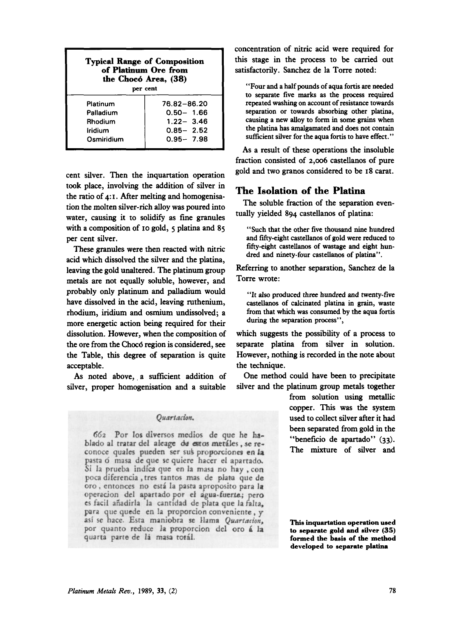| <b>Typical Range of Composition</b><br>of Platinum Ore from<br>the Chocó Area, (38)<br>per cent |               |
|-------------------------------------------------------------------------------------------------|---------------|
| Platinum                                                                                        | 76.82-86.20   |
| Palladium                                                                                       | $0.50 - 1.66$ |
| Rhodium                                                                                         | $1.22 - 3.46$ |
| <b>Iridium</b>                                                                                  | $0.85 - 2.52$ |
| Osmiridium                                                                                      | $0.95 - 7.98$ |

cent silver. Then the inquartation operation took place, involving the addition of silver in the ratio of **4: I.** After melting and homogenisation the molten silver-rich alloy was poured into water, causing it to **solidify** as fine granules with a composition of **10** gold, *5* platina and **85**  per cent silver.

These granules were then reacted with nitric acid which dissolved the silver and the platina, leaving the gold unaltered. The platinum group metals are not equally soluble, however, and probably only platinum and palladium would have dissolved in the acid, leaving ruthenium, rhodium, iridium and **osmium** undissolved; a more energetic action *being* required for their dissolution. However, when the composition of the ore from the Choc6 region is considered, **see**  the Table, this degree of separation is quite acceptable.

As noted above, a sufficient addition of silver, proper homogenisation and a suitable

#### Ouartacion.

662 Por los diversos medios de que he hablado al tratar del aleage de estos metáles, se reconoce quales pueden ser sus proporciones en la pasta ó masa de que se quiere hacer el apartado. Si la prueba indica que en la masa no hay, con poca diferencia, tres tantos mas de plata que de oro, entonces no está la pasta aproposito para la operacion del apartado por el agua-fuerte; pero es facil añadirla la cantidad de plata que la falta, para que quede en la proporcion conveniente, y así se hace. Esta maniobra se llama Quartacion, por quanto reduce la proporcion del oro á la quarta parte de la masa total.

concentration of nitric acid were required for **this** stage in the process to be camed out satisfactorily. Sanchez de la Torre noted:

"Four and a half pounds of aqua fortis are needed to separate five **marks as** the process required repeated washing on account of resistance towards separation or towards absorbing other platina, causing a new **alloy** to form in some **grains** when the platina has amalgamated and does not contain sufficient silver for the aqua fortis to have effect."

**As** a result of these operations the insoluble fraction consisted of **2,006** castellanos of pure gold and two granos considered to be **18** carat.

### **The Isolation of the Platina**

tually yielded **894** castellanos of platina: The soluble fraction of the separation even-

"Such that the other five thousand nine hundred and fifty-eight castellanos of gold were reduced to fifty-eight castellanos of wastage and eight hundred and ninety-four castellanos of platina".

Referring to another separation, Sanchez de la Torre wrote:

"It *also* produced three hundred and twenty-five castellanos of calcinated platina in *grain,* waste **from** that which was consumed **by** the aqua fortis during the separation process",

which suggests the possibility of a process to separate platina from silver in solution. However, nothing is recorded in the note about the technique.

One method could have been to precipitate silver and the platinum group metals together

> from solution using metallic copper. **This** was the system used to collect silver after it had been separated from gold in the "beneficio de apartado" (33). The mixture of silver and

> **This inquartation operation used to eeparate gold and silver (35)**  formed the basis of the method **developed to separate platina**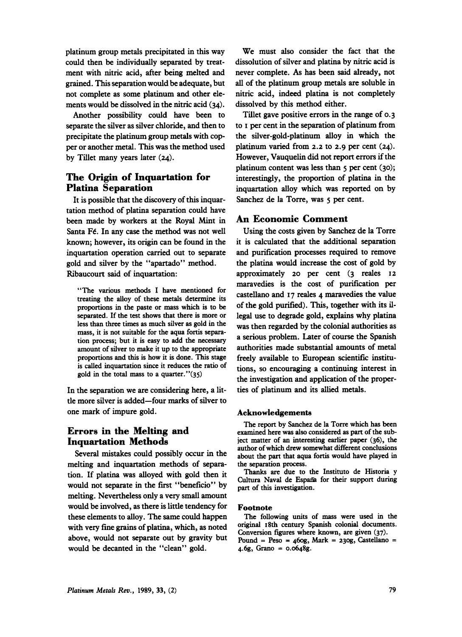platinum group metals precipitated in this way could then be individually separated by treatment with nitric acid, after being melted and grained. **This** separation would be adequate, but not complete as some platinum and other elements would be dissolved in the nitric acid **(34).** 

Another possibility could have been to separate the silver as silver chloride, and then to precipitate the platinum group metals with copper or another metal. **This** was the method used by Tillet many years later **(24).** 

## **The Origin of Inquartation for Platina Separation**

It is possible that the discovery of this inquartation method of platina separation could have been made by workers at the Royal Mint in Santa F€. In any case the method was not well known; however, its origin can be found in the inquartation operation carried out to separate gold and silver by the "apartado" method. Ribaucourt said of inquartation:

"The **various** methods I have mentioned for treating the alloy of these metals determine its proportions **in** the paste **or** mass which **is to be**  separated. If the test shows that there is more or less than three times as much silver as gold in the mass, it is not suitable for the aqua fortis separais called inquartation since it reduces the ratio of tion process; but it is easy to add the necessary amount of silver to make it up to the appropriate

In the separation we are considering here, a little more silver is added-four marks of silver to one mark of impure gold.

## **Errors in the Melting and Inquartation Methods**

Several mistakes could possibly occur in the melting and inquartation methods of separation. If platina was alloyed with gold then it would not separate in the first "beneficio" by melting. Nevertheless only a very small amount would be involved, as there is little tendency for these elements to alloy. The same could happen with very fine grains of platina, which, **as** noted above, would not separate out by gravity but would be decanted in the "clean" gold.

We must also consider the fact that the dissolution of silver and platina by nitric acid is never complete. **As** has been said already, not all of the platinum group metals are soluble in nitric acid, indeed platina is not completely dissolved by this method either.

Tillet gave positive errors in the range of **0.3**  to **I** per cent in the separation of platinum from the silver-gold-platinum alloy in which the platinum varied from **2.2** to **2.9** per cent **(24).**  However, Vauquelin did not report errors if the platinum content was less than *5* per cent **(30);**  interestingly, the proportion of platina in the inquartation alloy which was reported on by Sanchez de la **Torre,** was *5* per cent.

#### **An Economic Comment**

Using the costs given by Sanchez de la Torre it is calculated that the additional separation and purification processes required to remove the platina would increase the cost of gold by approximately **20** per cent **(3** reales **12**  maravedies is the cost of purification per castellano and 17 reales **4** maravedies the value legal use to degrade gold, explains why platina amount of silver to make it up to the appropriate authorities made substantial amounts of metal<br>proportions and this is how it is done. This stage freely available to European scientific institufreely available to European scientific institugold in the total mass to a quarter.''(35) the investigation and application of the properof the gold purified). **This,** together with its ilwas then regarded by the colonial authorities as course the Spanish ties of platinum and its allied metals. **encouraging a continuing** 

#### **Acknowledgements**

The report by Sanchez de la Torre which has been examined here **was** also considered **as** part of the subject matter of an interesting earlier paper (36), **the**  author of which drew somewhat different conclusions about the part that aqua fortis would have played in the separation process.

Thanks are due to the Instituto de Historia v Cultura Naval de España for their support during part of this investigation.

#### **Footnote**

The following units of **mass** were used in the **original** 18th century Spanish colonial documents. Conversion **figures** where known, **are** given (37). Pound = Peso = **46og,** Mark = 2309, Castellano = 4.6g, **Grano** = 0.0648g.